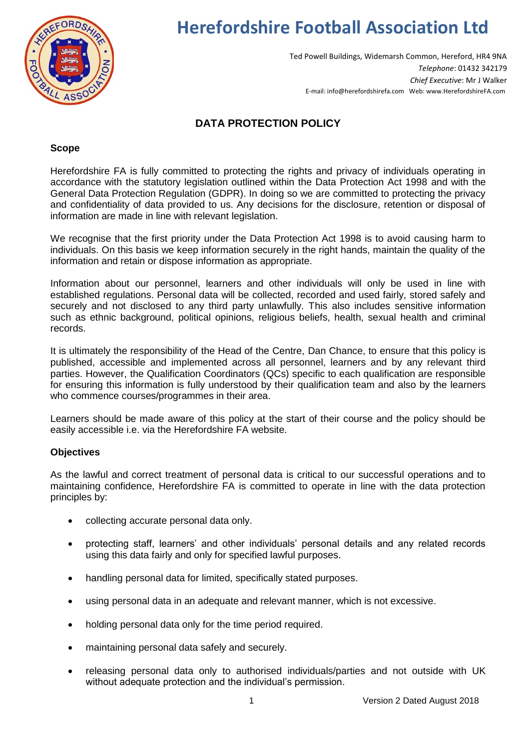

# **Herefordshire Football Association Ltd**

Ted Powell Buildings, Widemarsh Common, Hereford, HR4 9NA *Telephone*: 01432 342179 *Chief Executive*: Mr J Walker E-mail: info@herefordshirefa.com Web: www.HerefordshireFA.com

## **DATA PROTECTION POLICY**

#### **Scope**

Herefordshire FA is fully committed to protecting the rights and privacy of individuals operating in accordance with the statutory legislation outlined within the Data Protection Act 1998 and with the General Data Protection Regulation (GDPR). In doing so we are committed to protecting the privacy and confidentiality of data provided to us. Any decisions for the disclosure, retention or disposal of information are made in line with relevant legislation.

We recognise that the first priority under the Data Protection Act 1998 is to avoid causing harm to individuals. On this basis we keep information securely in the right hands, maintain the quality of the information and retain or dispose information as appropriate.

Information about our personnel, learners and other individuals will only be used in line with established regulations. Personal data will be collected, recorded and used fairly, stored safely and securely and not disclosed to any third party unlawfully. This also includes sensitive information such as ethnic background, political opinions, religious beliefs, health, sexual health and criminal records.

It is ultimately the responsibility of the Head of the Centre, Dan Chance, to ensure that this policy is published, accessible and implemented across all personnel, learners and by any relevant third parties. However, the Qualification Coordinators (QCs) specific to each qualification are responsible for ensuring this information is fully understood by their qualification team and also by the learners who commence courses/programmes in their area.

Learners should be made aware of this policy at the start of their course and the policy should be easily accessible i.e. via the Herefordshire FA website.

### **Objectives**

As the lawful and correct treatment of personal data is critical to our successful operations and to maintaining confidence, Herefordshire FA is committed to operate in line with the data protection principles by:

- collecting accurate personal data only.
- protecting staff, learners' and other individuals' personal details and any related records using this data fairly and only for specified lawful purposes.
- handling personal data for limited, specifically stated purposes.
- using personal data in an adequate and relevant manner, which is not excessive.
- holding personal data only for the time period required.
- maintaining personal data safely and securely.
- releasing personal data only to authorised individuals/parties and not outside with UK without adequate protection and the individual's permission.